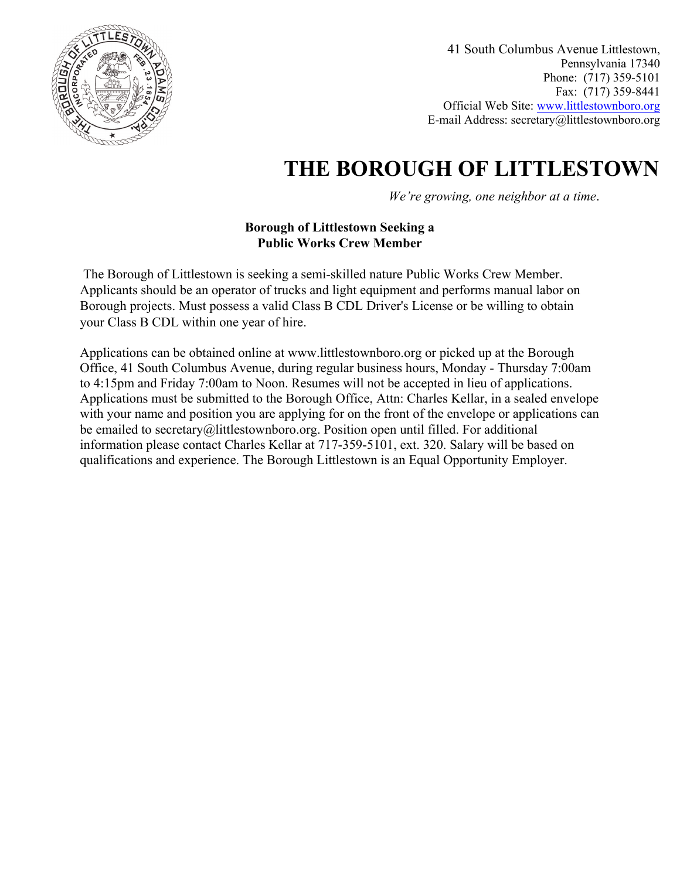

41 South Columbus Avenue Littlestown, Pennsylvania 17340 Phone: (717) 359-5101 Fax: (717) 359-8441 Official Web Site: [www.littlestownboro.org](http://www.littlestownboro.org/) E-mail Address: secretary@littlestownboro.org

# **THE BOROUGH OF LITTLESTOWN**

*We're growing, one neighbor at a time*.

### **Borough of Littlestown Seeking a Public Works Crew Member**

 The Borough of Littlestown is seeking a semi-skilled nature Public Works Crew Member. Applicants should be an operator of trucks and light equipment and performs manual labor on Borough projects. Must possess a valid Class B CDL Driver's License or be willing to obtain your Class B CDL within one year of hire.

Applications can be obtained online at www.littlestownboro.org or picked up at the Borough Office, 41 South Columbus Avenue, during regular business hours, Monday - Thursday 7:00am to 4:15pm and Friday 7:00am to Noon. Resumes will not be accepted in lieu of applications. Applications must be submitted to the Borough Office, Attn: Charles Kellar, in a sealed envelope with your name and position you are applying for on the front of the envelope or applications can be emailed to secretary@littlestownboro.org. Position open until filled. For additional information please contact Charles Kellar at 717-359-5101, ext. 320. Salary will be based on qualifications and experience. The Borough Littlestown is an Equal Opportunity Employer.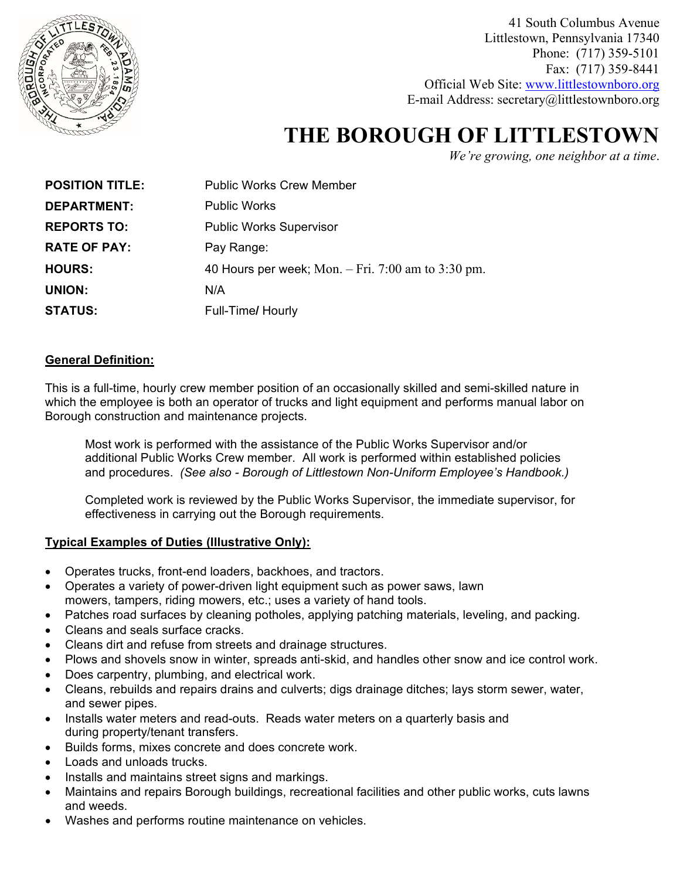

41 South Columbus Avenue Littlestown, Pennsylvania 17340 Phone: (717) 359-5101 Fax: (717) 359-8441 Official Web Site: [www.littlestownboro.org](http://www.littlestownboro.org/) E-mail Address: secretary@littlestownboro.org

# **THE BOROUGH OF LITTLESTOWN**

*We're growing, one neighbor at a time*.

| <b>POSITION TITLE:</b> | <b>Public Works Crew Member</b>                      |
|------------------------|------------------------------------------------------|
| DEPARTMENT:            | <b>Public Works</b>                                  |
| <b>REPORTS TO:</b>     | <b>Public Works Supervisor</b>                       |
| <b>RATE OF PAY:</b>    | Pay Range:                                           |
| <b>HOURS:</b>          | 40 Hours per week; Mon. $-$ Fri. 7:00 am to 3:30 pm. |
| <b>UNION:</b>          | N/A                                                  |
| <b>STATUS:</b>         | Full-Time/ Hourly                                    |

#### **General Definition:**

This is a full-time, hourly crew member position of an occasionally skilled and semi-skilled nature in which the employee is both an operator of trucks and light equipment and performs manual labor on Borough construction and maintenance projects.

Most work is performed with the assistance of the Public Works Supervisor and/or additional Public Works Crew member. All work is performed within established policies and procedures. *(See also - Borough of Littlestown Non-Uniform Employee's Handbook.)*

Completed work is reviewed by the Public Works Supervisor, the immediate supervisor, for effectiveness in carrying out the Borough requirements.

### **Typical Examples of Duties (Illustrative Only):**

- Operates trucks, front-end loaders, backhoes, and tractors.
- Operates a variety of power-driven light equipment such as power saws, lawn mowers, tampers, riding mowers, etc.; uses a variety of hand tools.
- Patches road surfaces by cleaning potholes, applying patching materials, leveling, and packing.
- Cleans and seals surface cracks.
- Cleans dirt and refuse from streets and drainage structures.
- Plows and shovels snow in winter, spreads anti-skid, and handles other snow and ice control work.
- Does carpentry, plumbing, and electrical work.
- Cleans, rebuilds and repairs drains and culverts; digs drainage ditches; lays storm sewer, water, and sewer pipes.
- Installs water meters and read-outs. Reads water meters on a quarterly basis and during property/tenant transfers.
- Builds forms, mixes concrete and does concrete work.
- Loads and unloads trucks.
- Installs and maintains street signs and markings.
- Maintains and repairs Borough buildings, recreational facilities and other public works, cuts lawns and weeds.
- Washes and performs routine maintenance on vehicles.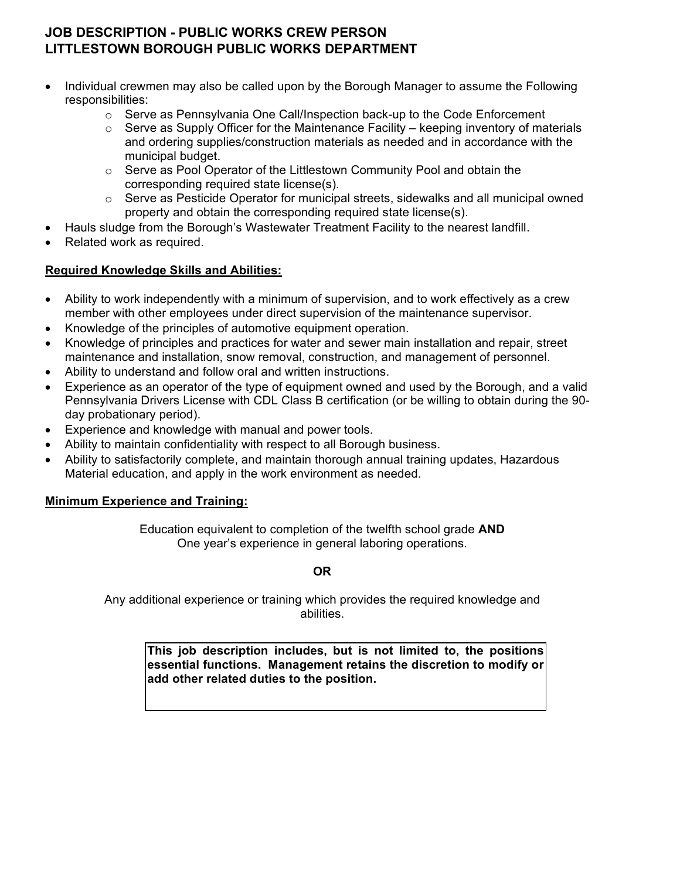### **JOB DESCRIPTION - PUBLIC WORKS CREW PERSON LITTLESTOWN BOROUGH PUBLIC WORKS DEPARTMENT**

- Individual crewmen may also be called upon by the Borough Manager to assume the Following responsibilities:
	- $\circ$  Serve as Pennsylvania One Call/Inspection back-up to the Code Enforcement
	- $\circ$  Serve as Supply Officer for the Maintenance Facility keeping inventory of materials and ordering supplies/construction materials as needed and in accordance with the municipal budget.
	- $\circ$  Serve as Pool Operator of the Littlestown Community Pool and obtain the corresponding required state license(s).
	- $\circ$  Serve as Pesticide Operator for municipal streets, sidewalks and all municipal owned property and obtain the corresponding required state license(s).
- Hauls sludge from the Borough's Wastewater Treatment Facility to the nearest landfill.
- Related work as required.

### **Required Knowledge Skills and Abilities:**

- Ability to work independently with a minimum of supervision, and to work effectively as a crew member with other employees under direct supervision of the maintenance supervisor.
- Knowledge of the principles of automotive equipment operation.
- Knowledge of principles and practices for water and sewer main installation and repair, street maintenance and installation, snow removal, construction, and management of personnel.
- Ability to understand and follow oral and written instructions.
- Experience as an operator of the type of equipment owned and used by the Borough, and a valid Pennsylvania Drivers License with CDL Class B certification (or be willing to obtain during the 90 day probationary period).
- Experience and knowledge with manual and power tools.
- Ability to maintain confidentiality with respect to all Borough business.
- Ability to satisfactorily complete, and maintain thorough annual training updates, Hazardous Material education, and apply in the work environment as needed.

### **Minimum Experience and Training:**

Education equivalent to completion of the twelfth school grade **AND** One year's experience in general laboring operations.

### **OR**

Any additional experience or training which provides the required knowledge and abilities.

**This job description includes, but is not limited to, the positions essential functions. Management retains the discretion to modify or add other related duties to the position.**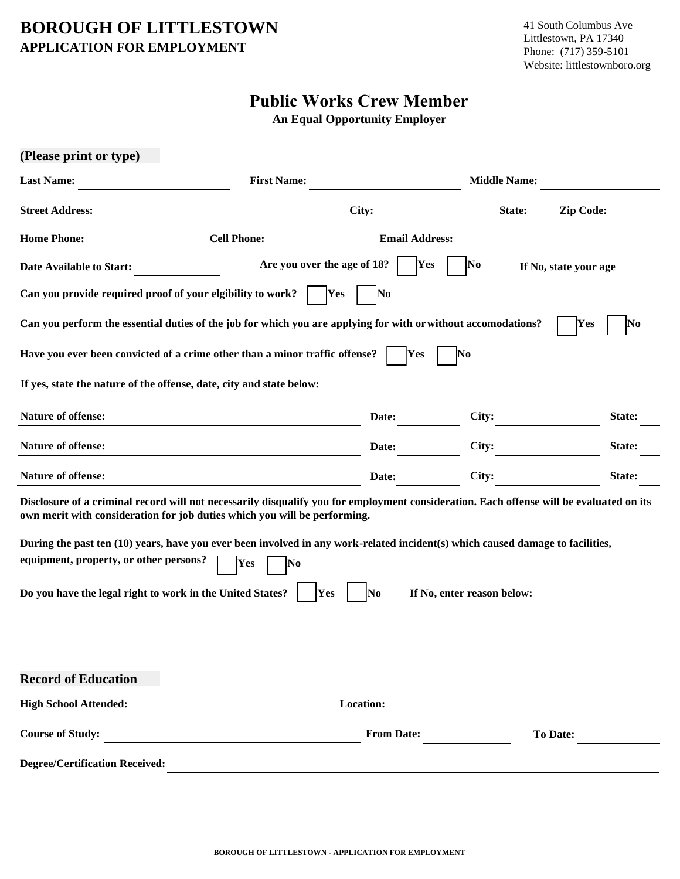### **BOROUGH OF LITTLESTOWN APPLICATION FOR EMPLOYMENT**

## **Public Works Crew Member**

**An Equal Opportunity Employer** 

| (Please print or type)                                     |                                                                                                                                                                                                                      |                       |                             |                  |
|------------------------------------------------------------|----------------------------------------------------------------------------------------------------------------------------------------------------------------------------------------------------------------------|-----------------------|-----------------------------|------------------|
| <b>Last Name:</b>                                          | <b>First Name:</b>                                                                                                                                                                                                   |                       | <b>Middle Name:</b>         |                  |
| <b>Street Address:</b>                                     |                                                                                                                                                                                                                      | City:                 | State:                      | <b>Zip Code:</b> |
| <b>Home Phone:</b>                                         | <b>Cell Phone:</b>                                                                                                                                                                                                   | <b>Email Address:</b> |                             |                  |
| Date Available to Start:                                   | Are you over the age of 18?                                                                                                                                                                                          | <b>Yes</b>            | No<br>If No, state your age |                  |
| Can you provide required proof of your elgibility to work? | Yes                                                                                                                                                                                                                  | No                    |                             |                  |
|                                                            | Can you perform the essential duties of the job for which you are applying for with or without accomodations?                                                                                                        |                       |                             | Yes<br>No        |
|                                                            | Have you ever been convicted of a crime other than a minor traffic offense?                                                                                                                                          | Yes                   | No                          |                  |
|                                                            | If yes, state the nature of the offense, date, city and state below:                                                                                                                                                 |                       |                             |                  |
| <b>Nature of offense:</b>                                  |                                                                                                                                                                                                                      | Date:                 | City:                       | State:           |
| Nature of offense:                                         |                                                                                                                                                                                                                      | Date:                 | City:                       | State:           |
| <b>Nature of offense:</b>                                  |                                                                                                                                                                                                                      | Date:                 | City:                       | State:           |
|                                                            | Disclosure of a criminal record will not necessarily disqualify you for employment consideration. Each offense will be evaluated on its<br>own merit with consideration for job duties which you will be performing. |                       |                             |                  |
| equipment, property, or other persons?                     | During the past ten (10) years, have you ever been involved in any work-related incident(s) which caused damage to facilities,<br>Yes<br>No                                                                          |                       |                             |                  |
| Do you have the legal right to work in the United States?  | Yes                                                                                                                                                                                                                  | No                    | If No, enter reason below:  |                  |
|                                                            |                                                                                                                                                                                                                      |                       |                             |                  |
| <b>Record of Education</b>                                 |                                                                                                                                                                                                                      |                       |                             |                  |
| <b>High School Attended:</b>                               | <u> 1980 - Johann Stein, fransk politik (d. 1980)</u>                                                                                                                                                                | Location:             |                             |                  |
| <b>Course of Study:</b>                                    | <u> - Constantino de la constantino de la constantino de la constantino de la constantino de la constantino de l</u>                                                                                                 | <b>From Date:</b>     | To Date:                    |                  |
| <b>Degree/Certification Received:</b>                      |                                                                                                                                                                                                                      |                       |                             |                  |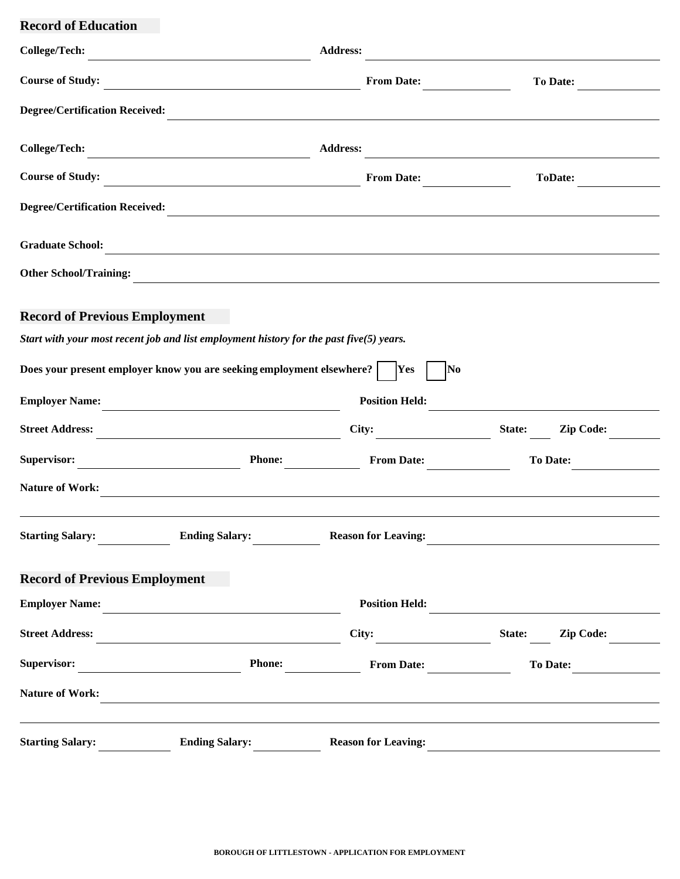**Record of Education**

| <b>College/Tech:</b>                  |                                                                                                                                                                                                                               | <b>Address:</b>            |                            |
|---------------------------------------|-------------------------------------------------------------------------------------------------------------------------------------------------------------------------------------------------------------------------------|----------------------------|----------------------------|
| <b>Course of Study:</b>               | <u> 1989 - Johann Barn, mars ann an t-Amhain Aonaich an t-Aonaich an t-Aonaich an t-Aonaich an t-Aonaich an t-Aon</u>                                                                                                         | <b>From Date:</b>          | <b>To Date:</b>            |
| <b>Degree/Certification Received:</b> |                                                                                                                                                                                                                               |                            |                            |
| <b>College/Tech:</b>                  | <u> 1989 - Johann Stoff, fransk politik (d. 1989)</u>                                                                                                                                                                         | <b>Address:</b>            |                            |
| <b>Course of Study:</b>               | <u> 1989 - Johann Barn, fransk politik amerikansk politik (d. 1989)</u>                                                                                                                                                       | <b>From Date:</b>          | <b>ToDate:</b>             |
| <b>Degree/Certification Received:</b> |                                                                                                                                                                                                                               |                            |                            |
| <b>Graduate School:</b>               | <u> 1989 - Johann John Stein, markin film yn y brenin y brenin y brenin y brenin y brenin y brenin y brenin y br</u>                                                                                                          |                            |                            |
| <b>Other School/Training:</b>         | <u> 1980 - Jan Samuel Barbara, margaret e populari e populari e populari e populari e populari e populari e pop</u>                                                                                                           |                            |                            |
| <b>Record of Previous Employment</b>  |                                                                                                                                                                                                                               |                            |                            |
|                                       | Start with your most recent job and list employment history for the past five $(5)$ years.                                                                                                                                    |                            |                            |
|                                       | Does your present employer know you are seeking employment elsewhere?                                                                                                                                                         | <b>Yes</b><br>No           |                            |
| <b>Employer Name:</b>                 |                                                                                                                                                                                                                               | <b>Position Held:</b>      |                            |
| <b>Street Address:</b>                |                                                                                                                                                                                                                               | City:                      | State:<br><b>Zip Code:</b> |
| Supervisor:                           | <b>Phone:</b><br><u> 1989 - Johann Barn, mars et al.</u>                                                                                                                                                                      | <b>From Date:</b>          | <b>To Date:</b>            |
| <b>Nature of Work:</b>                | <u> 1989 - Johann Johann Stoff, deutscher Stoffen und der Stoffen und der Stoffen und der Stoffen und der Stoffen</u>                                                                                                         |                            |                            |
| <b>Starting Salary:</b>               | <b>Ending Salary:</b>                                                                                                                                                                                                         | <b>Reason for Leaving:</b> |                            |
| <b>Record of Previous Employment</b>  |                                                                                                                                                                                                                               |                            |                            |
| <b>Employer Name:</b>                 | the control of the control of the control of the control of the control of                                                                                                                                                    | <b>Position Held:</b>      |                            |
| <b>Street Address:</b>                |                                                                                                                                                                                                                               | City:                      | <b>Zip Code:</b><br>State: |
| Supervisor:                           | <b>Phone:</b>                                                                                                                                                                                                                 | <b>From Date:</b>          | <b>To Date:</b>            |
| <b>Nature of Work:</b>                | the control of the control of the control of the control of the control of the control of the control of the control of the control of the control of the control of the control of the control of the control of the control |                            |                            |
| <b>Starting Salary:</b>               | <b>Ending Salary:</b>                                                                                                                                                                                                         | <b>Reason for Leaving:</b> |                            |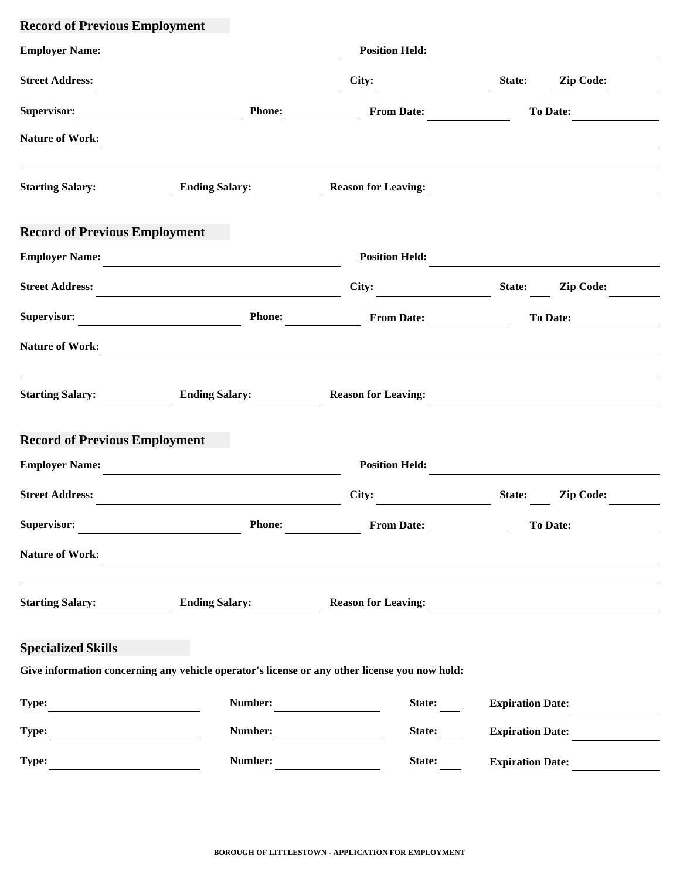## **Record of Previous Employment**

| <b>Employer Name:</b>                |                                                                                               | <b>Position Held:</b>      |                            |
|--------------------------------------|-----------------------------------------------------------------------------------------------|----------------------------|----------------------------|
| <b>Street Address:</b>               |                                                                                               | City:                      | State:<br><b>Zip Code:</b> |
| Supervisor:                          | <b>Phone:</b>                                                                                 | <b>From Date:</b>          | <b>To Date:</b>            |
| <b>Nature of Work:</b>               |                                                                                               |                            |                            |
| <b>Starting Salary:</b>              | <b>Ending Salary:</b>                                                                         | <b>Reason for Leaving:</b> |                            |
| <b>Record of Previous Employment</b> |                                                                                               |                            |                            |
| <b>Employer Name:</b>                |                                                                                               | <b>Position Held:</b>      |                            |
| <b>Street Address:</b>               | <u> 1980 - Jan Alexandria (h. 1980).</u>                                                      | City:                      | State:<br><b>Zip Code:</b> |
| Supervisor:                          | <b>Phone:</b>                                                                                 | <b>From Date:</b>          | <b>To Date:</b>            |
| <b>Nature of Work:</b>               |                                                                                               |                            |                            |
| <b>Starting Salary:</b>              | <b>Ending Salary:</b>                                                                         | <b>Reason for Leaving:</b> |                            |
| <b>Record of Previous Employment</b> |                                                                                               |                            |                            |
| <b>Employer Name:</b>                |                                                                                               | <b>Position Held:</b>      |                            |
| <b>Street Address:</b>               |                                                                                               | City:                      | State:<br><b>Zip Code:</b> |
| Supervisor:                          | <b>Phone:</b>                                                                                 | <b>From Date:</b>          | To Date:                   |
| <b>Nature of Work:</b>               |                                                                                               |                            |                            |
| <b>Starting Salary:</b>              | <b>Ending Salary:</b>                                                                         | <b>Reason for Leaving:</b> |                            |
| <b>Specialized Skills</b>            |                                                                                               |                            |                            |
|                                      | Give information concerning any vehicle operator's license or any other license you now hold: |                            |                            |
| Type:                                | Number:                                                                                       | State:                     | <b>Expiration Date:</b>    |
| Type:                                | Number:                                                                                       | State:                     | <b>Expiration Date:</b>    |
| Type:                                | Number:                                                                                       | State:                     | <b>Expiration Date:</b>    |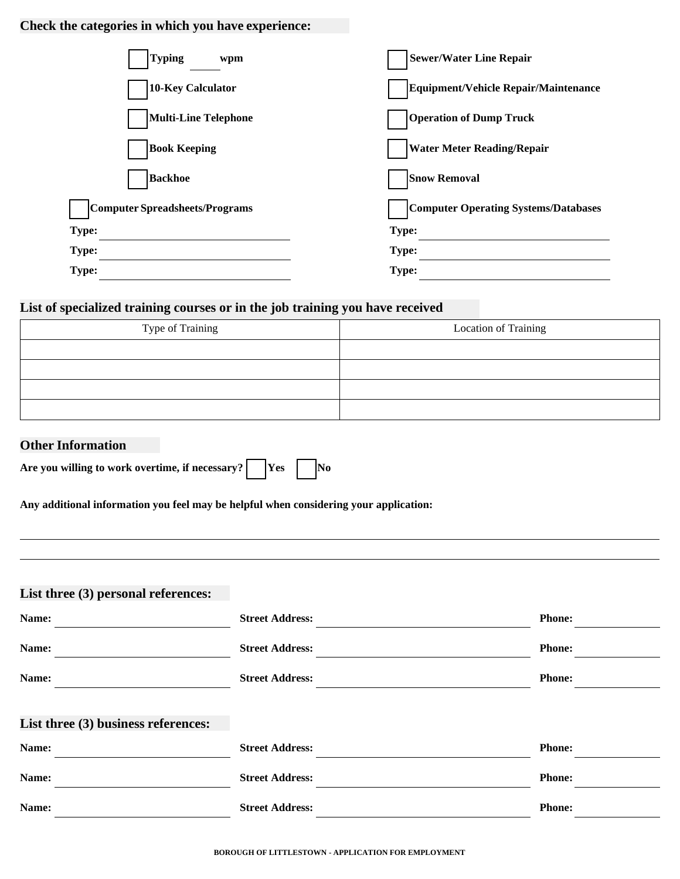### **Check the categories in which you have experience:**

| <b>Typing</b><br>wpm           | <b>Sewer/Water Line Repair</b>              |
|--------------------------------|---------------------------------------------|
| 10-Key Calculator              | Equipment/Vehicle Repair/Maintenance        |
| <b>Multi-Line Telephone</b>    | <b>Operation of Dump Truck</b>              |
| <b>Book Keeping</b>            | <b>Water Meter Reading/Repair</b>           |
| <b>Backhoe</b>                 | <b>Snow Removal</b>                         |
| Computer Spreadsheets/Programs | <b>Computer Operating Systems/Databases</b> |
| Type:                          | Type:                                       |
| Type:                          | <b>Type:</b>                                |
| Type:                          | Type:                                       |

### **List of specialized training courses or in the job training you have received**

| Type of Training | Location of Training |
|------------------|----------------------|
|                  |                      |
|                  |                      |
|                  |                      |
|                  |                      |

### **Other Information**

| Are you willing to work overtime, if necessary? |  | $\gamma$ |  | No |
|-------------------------------------------------|--|----------|--|----|
|-------------------------------------------------|--|----------|--|----|

**Any additional information you feel may be helpful when considering your application:**

### **List three (3) personal references:**

| Name:                               | <b>Street Address:</b> | <b>Phone:</b> |
|-------------------------------------|------------------------|---------------|
| Name:                               | <b>Street Address:</b> | <b>Phone:</b> |
| Name:                               | <b>Street Address:</b> | <b>Phone:</b> |
| List three (3) business references: |                        |               |
| Name:                               | <b>Street Address:</b> | <b>Phone:</b> |
| Name:                               | <b>Street Address:</b> | <b>Phone:</b> |
| Name:                               | <b>Street Address:</b> | <b>Phone:</b> |